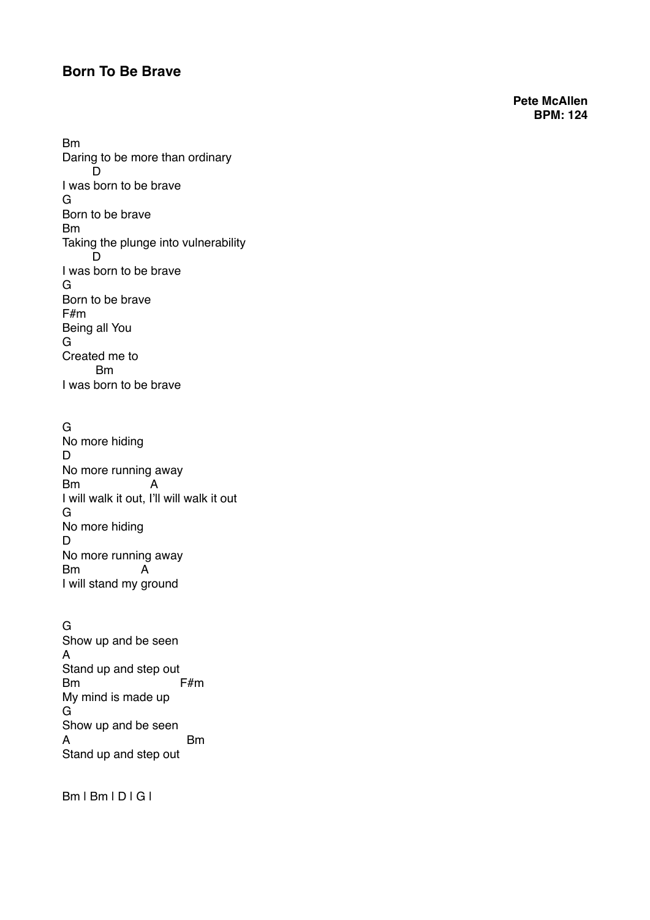## **Born To Be Brave**

**Pete McAllen BPM: 124**

Bm Daring to be more than ordinary D I was born to be brave G Born to be brave Bm Taking the plunge into vulnerability D I was born to be brave G Born to be brave F#m Being all You G Created me to Bm I was born to be brave

G

No more hiding D No more running away Bm A I will walk it out, I'll will walk it out G No more hiding D No more running away<br>Bm A  $Bm$ I will stand my ground

G Show up and be seen A Stand up and step out Bm F#m My mind is made up G Show up and be seen A Bm Stand up and step out

Bm | Bm | D | G |